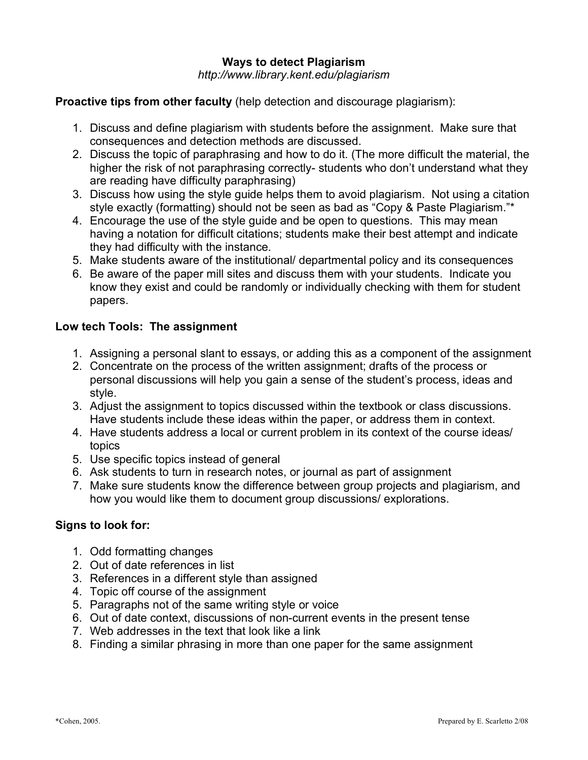# **Ways to detect Plagiarism** *http://www.library.kent.edu/plagiarism*

## **Proactive tips from other faculty** (help detection and discourage plagiarism):

- 1. Discuss and define plagiarism with students before the assignment. Make sure that consequences and detection methods are discussed.
- 2. Discuss the topic of paraphrasing and how to do it. (The more difficult the material, the higher the risk of not paraphrasing correctly- students who don't understand what they are reading have difficulty paraphrasing)
- 3. Discuss how using the style guide helps them to avoid plagiarism. Not using a citation style exactly (formatting) should not be seen as bad as "Copy & Paste Plagiarism."\*
- 4. Encourage the use of the style guide and be open to questions. This may mean having a notation for difficult citations; students make their best attempt and indicate they had difficulty with the instance.
- 5. Make students aware of the institutional/ departmental policy and its consequences
- 6. Be aware of the paper mill sites and discuss them with your students. Indicate you know they exist and could be randomly or individually checking with them for student papers.

# **Low tech Tools: The assignment**

- 1. Assigning a personal slant to essays, or adding this as a component of the assignment
- 2. Concentrate on the process of the written assignment; drafts of the process or personal discussions will help you gain a sense of the student's process, ideas and style.
- 3. Adjust the assignment to topics discussed within the textbook or class discussions. Have students include these ideas within the paper, or address them in context.
- 4. Have students address a local or current problem in its context of the course ideas/ topics
- 5. Use specific topics instead of general
- 6. Ask students to turn in research notes, or journal as part of assignment
- 7. Make sure students know the difference between group projects and plagiarism, and how you would like them to document group discussions/ explorations.

#### **Signs to look for:**

- 1. Odd formatting changes
- 2. Out of date references in list
- 3. References in a different style than assigned
- 4. Topic off course of the assignment
- 5. Paragraphs not of the same writing style or voice
- 6. Out of date context, discussions of non-current events in the present tense
- 7. Web addresses in the text that look like a link
- 8. Finding a similar phrasing in more than one paper for the same assignment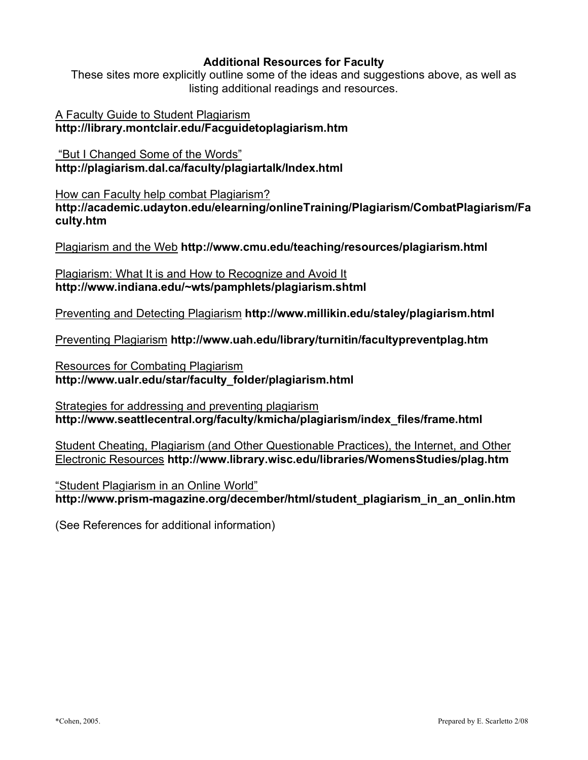#### **Additional Resources for Faculty**

These sites more explicitly outline some of the ideas and suggestions above, as well as listing additional readings and resources.

A Faculty Guide to Student Plagiarism **http://library.montclair.edu/Facguidetoplagiarism.htm**

"But I Changed Some of the Words" **http://plagiarism.dal.ca/faculty/plagiartalk/Index.html**

How can Faculty help combat Plagiarism? **http://academic.udayton.edu/elearning/onlineTraining/Plagiarism/CombatPlagiarism/Fa culty.htm**

Plagiarism and the Web **http://www.cmu.edu/teaching/resources/plagiarism.html**

Plagiarism: What It is and How to Recognize and Avoid It **http://www.indiana.edu/~wts/pamphlets/plagiarism.shtml**

Preventing and Detecting Plagiarism **http://www.millikin.edu/staley/plagiarism.html**

Preventing Plagiarism **http://www.uah.edu/library/turnitin/facultypreventplag.htm**

Resources for Combating Plagiarism **http://www.ualr.edu/star/faculty\_folder/plagiarism.html**

Strategies for addressing and preventing plagiarism **http://www.seattlecentral.org/faculty/kmicha/plagiarism/index\_files/frame.html**

Student Cheating, Plagiarism (and Other Questionable Practices), the Internet, and Other Electronic Resources **http://www.library.wisc.edu/libraries/WomensStudies/plag.htm**

"Student Plagiarism in an Online World" **http://www.prism-magazine.org/december/html/student\_plagiarism\_in\_an\_onlin.htm**

(See References for additional information)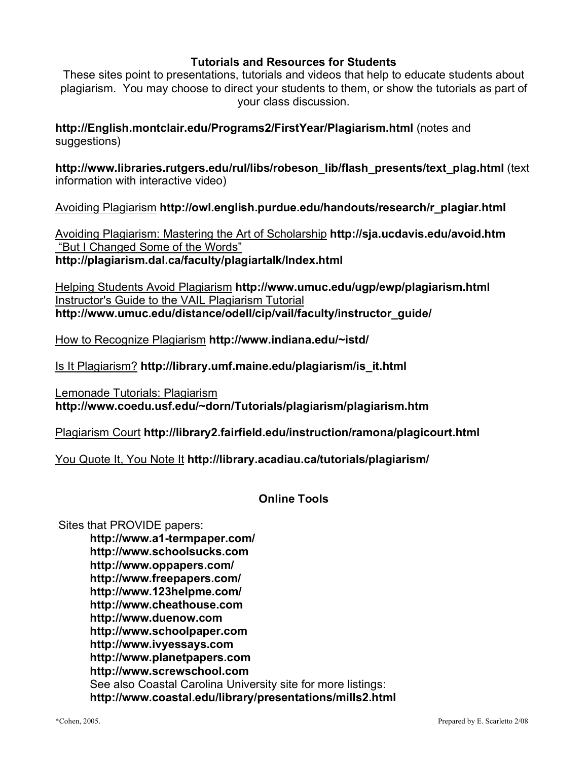#### **Tutorials and Resources for Students**

These sites point to presentations, tutorials and videos that help to educate students about plagiarism. You may choose to direct your students to them, or show the tutorials as part of your class discussion.

**http://English.montclair.edu/Programs2/FirstYear/Plagiarism.html** (notes and suggestions)

**http://www.libraries.rutgers.edu/rul/libs/robeson\_lib/flash\_presents/text\_plag.html** (text information with interactive video)

Avoiding Plagiarism **http://owl.english.purdue.edu/handouts/research/r\_plagiar.html**

Avoiding Plagiarism: Mastering the Art of Scholarship **http://sja.ucdavis.edu/avoid.htm** "But I Changed Some of the Words" **http://plagiarism.dal.ca/faculty/plagiartalk/Index.html**

Helping Students Avoid Plagiarism **http://www.umuc.edu/ugp/ewp/plagiarism.html** Instructor's Guide to the VAIL Plagiarism Tutorial **http://www.umuc.edu/distance/odell/cip/vail/faculty/instructor\_guide/**

How to Recognize Plagiarism **http://www.indiana.edu/~istd/**

Is It Plagiarism? **http://library.umf.maine.edu/plagiarism/is\_it.html**

Lemonade Tutorials: Plagiarism **http://www.coedu.usf.edu/~dorn/Tutorials/plagiarism/plagiarism.htm**

Plagiarism Court **http://library2.fairfield.edu/instruction/ramona/plagicourt.html**

You Quote It, You Note It **http://library.acadiau.ca/tutorials/plagiarism/**

#### **Online Tools**

Sites that PROVIDE papers:

**http://www.a1-termpaper.com/ http://www.schoolsucks.com http://www.oppapers.com/ http://www.freepapers.com/ http://www.123helpme.com/ http://www.cheathouse.com http://www.duenow.com http://www.schoolpaper.com http://www.ivyessays.com http://www.planetpapers.com http://www.screwschool.com** See also Coastal Carolina University site for more listings: **http://www.coastal.edu/library/presentations/mills2.html**